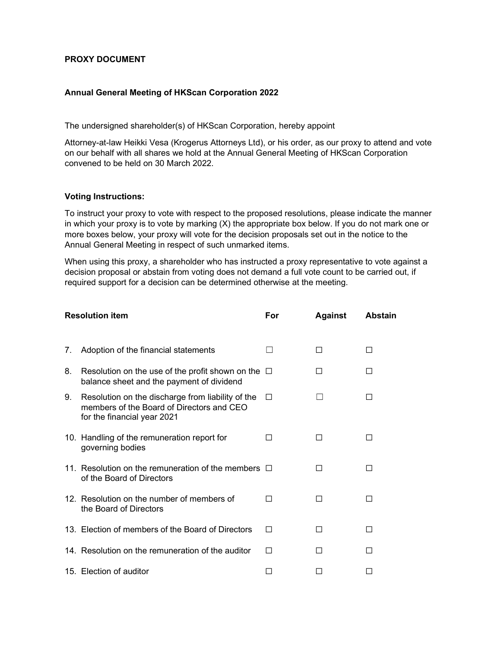## PROXY DOCUMENT

## Annual General Meeting of HKScan Corporation 2022

The undersigned shareholder(s) of HKScan Corporation, hereby appoint

Attorney-at-law Heikki Vesa (Krogerus Attorneys Ltd), or his order, as our proxy to attend and vote on our behalf with all shares we hold at the Annual General Meeting of HKScan Corporation convened to be held on 30 March 2022.

## Voting Instructions:

To instruct your proxy to vote with respect to the proposed resolutions, please indicate the manner in which your proxy is to vote by marking  $(X)$  the appropriate box below. If you do not mark one or more boxes below, your proxy will vote for the decision proposals set out in the notice to the Annual General Meeting in respect of such unmarked items.

When using this proxy, a shareholder who has instructed a proxy representative to vote against a decision proposal or abstain from voting does not demand a full vote count to be carried out, if required support for a decision can be determined otherwise at the meeting.

| <b>Resolution item</b> |                                                                                                                               | For          | <b>Against</b> | <b>Abstain</b> |
|------------------------|-------------------------------------------------------------------------------------------------------------------------------|--------------|----------------|----------------|
|                        |                                                                                                                               |              |                |                |
| 7.                     | Adoption of the financial statements                                                                                          |              | П              | П              |
| 8.                     | Resolution on the use of the profit shown on the $\Box$<br>balance sheet and the payment of dividend                          |              | П              | ΙI             |
| 9.                     | Resolution on the discharge from liability of the<br>members of the Board of Directors and CEO<br>for the financial year 2021 | П            |                | П              |
|                        | 10. Handling of the remuneration report for<br>governing bodies                                                               | $\mathsf{L}$ | $\Box$         | ΙI             |
|                        | 11. Resolution on the remuneration of the members $\Box$<br>of the Board of Directors                                         |              | П              | П              |
|                        | 12. Resolution on the number of members of<br>the Board of Directors                                                          | ΙI           | ΙI             | П              |
|                        | 13. Election of members of the Board of Directors                                                                             | П            | П              | ΙI             |
|                        | 14. Resolution on the remuneration of the auditor                                                                             | П            | ΙI             |                |
|                        | 15. Election of auditor                                                                                                       |              |                |                |